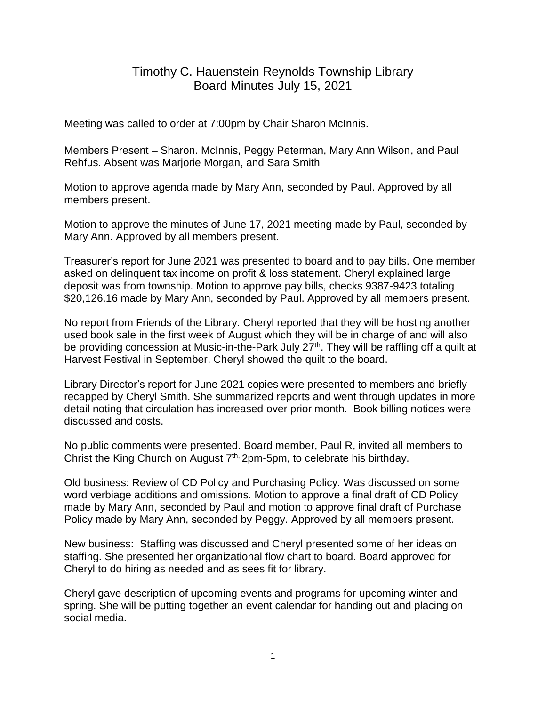## Timothy C. Hauenstein Reynolds Township Library Board Minutes July 15, 2021

Meeting was called to order at 7:00pm by Chair Sharon McInnis.

Members Present – Sharon. McInnis, Peggy Peterman, Mary Ann Wilson, and Paul Rehfus. Absent was Marjorie Morgan, and Sara Smith

Motion to approve agenda made by Mary Ann, seconded by Paul. Approved by all members present.

Motion to approve the minutes of June 17, 2021 meeting made by Paul, seconded by Mary Ann. Approved by all members present.

Treasurer's report for June 2021 was presented to board and to pay bills. One member asked on delinquent tax income on profit & loss statement. Cheryl explained large deposit was from township. Motion to approve pay bills, checks 9387-9423 totaling \$20,126.16 made by Mary Ann, seconded by Paul. Approved by all members present.

No report from Friends of the Library. Cheryl reported that they will be hosting another used book sale in the first week of August which they will be in charge of and will also be providing concession at Music-in-the-Park July 27<sup>th</sup>. They will be raffling off a quilt at Harvest Festival in September. Cheryl showed the quilt to the board.

Library Director's report for June 2021 copies were presented to members and briefly recapped by Cheryl Smith. She summarized reports and went through updates in more detail noting that circulation has increased over prior month. Book billing notices were discussed and costs.

No public comments were presented. Board member, Paul R, invited all members to Christ the King Church on August  $7<sup>th</sup>$ , 2pm-5pm, to celebrate his birthday.

Old business: Review of CD Policy and Purchasing Policy. Was discussed on some word verbiage additions and omissions. Motion to approve a final draft of CD Policy made by Mary Ann, seconded by Paul and motion to approve final draft of Purchase Policy made by Mary Ann, seconded by Peggy. Approved by all members present.

New business: Staffing was discussed and Cheryl presented some of her ideas on staffing. She presented her organizational flow chart to board. Board approved for Cheryl to do hiring as needed and as sees fit for library.

Cheryl gave description of upcoming events and programs for upcoming winter and spring. She will be putting together an event calendar for handing out and placing on social media.